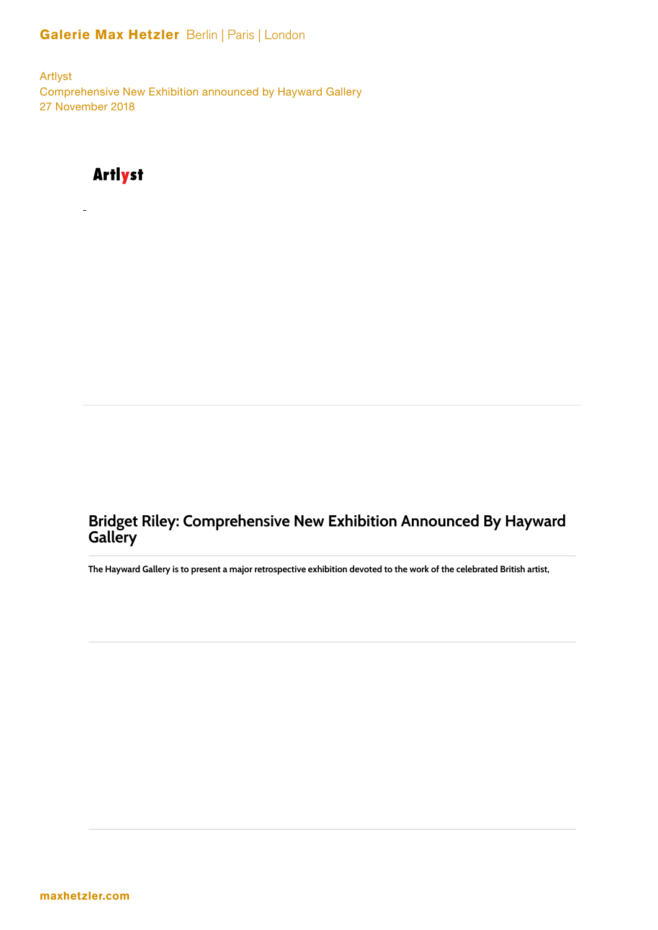### Galerie Max Hetzler Berlin | Paris | London

Artlyst Comprehensive New Exhibition announced by Hayward Gallery 27 November 2018

# **Artlyst**

## **Bridget Riley: Comprehensive New Exhibition Announced By Hayward Gallery**

The Hayward Gallery is to present a major retrospective exhibition devoted to the work of the celebrated British artist,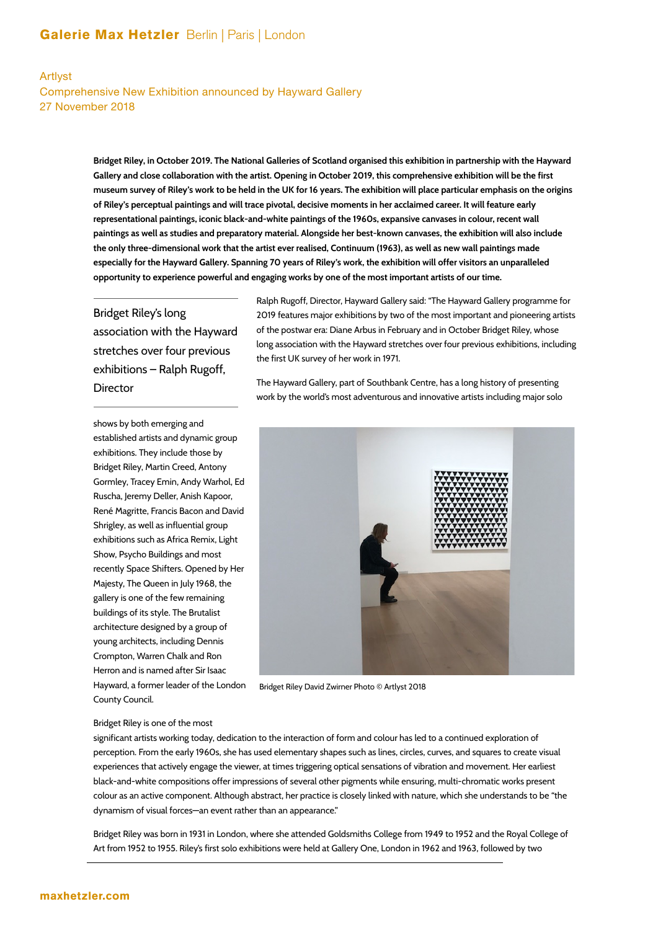#### Galerie Max Hetzler Berlin | Paris | London

#### Artlyst Comprehensive New Exhibition announced by Hayward Gallery 27 November 2018

**Bridget Riley, in October 2019. The National Galleries of Scotland organised this exhibition in partnership with the Hayward Gallery and close collaboration with the artist. Opening in October 2019, this comprehensive exhibition will be the first museum survey of Riley's work to be held in the UK for 16 years. The exhibition will place particular emphasis on the origins of Riley's perceptual paintings and will trace pivotal, decisive moments in her acclaimed career. It will feature early representational paintings, iconic black-and-white paintings of the 1960s, expansive canvases in colour, recent wall paintings as well as studies and preparatory material. Alongside her best-known canvases, the exhibition will also include the only three-dimensional work that the artist ever realised, Continuum (1963), as well as new wall paintings made especially for the Hayward Gallery. Spanning 70 years of Riley's work, the exhibition will offer visitors an unparalleled opportunity to experience powerful and engaging works by one of the most important artists of our time.** 

### Bridget Riley's long association with the Hayward stretches over four previous exhibitions – Ralph Rugoff, **Director**

shows by both emerging and established artists and dynamic group exhibitions. They include those by Bridget Riley, Martin Creed, Antony Gormley, Tracey Emin, Andy Warhol, Ed Ruscha, Jeremy Deller, Anish Kapoor, René Magritte, Francis Bacon and David Shrigley, as well as influential group exhibitions such as Africa Remix, Light Show, Psycho Buildings and most recently Space Shifters. Opened by Her Majesty, The Queen in July 1968, the gallery is one of the few remaining buildings of its style. The Brutalist architecture designed by a group of young architects, including Dennis Crompton, Warren Chalk and Ron Herron and is named after Sir Isaac Hayward, a former leader of the London County Council.

Ralph Rugoff, Director, Hayward Gallery said: "The Hayward Gallery programme for 2019 features major exhibitions by two of the most important and pioneering artists of the postwar era: Diane Arbus in February and in October Bridget Riley, whose long association with the Hayward stretches over four previous exhibitions, including the first UK survey of her work in 1971.

The Hayward Gallery, part of Southbank Centre, has a long history of presenting work by the world's most adventurous and innovative artists including major solo



Bridget Riley David Zwirner Photo © Artlyst 2018

#### Bridget Riley is one of the most

significant artists working today, dedication to the interaction of form and colour has led to a continued exploration of perception. From the early 1960s, she has used elementary shapes such as lines, circles, curves, and squares to create visual experiences that actively engage the viewer, at times triggering optical sensations of vibration and movement. Her earliest black-and-white compositions offer impressions of several other pigments while ensuring, multi-chromatic works present colour as an active component. Although abstract, her practice is closely linked with nature, which she understands to be "the dynamism of visual forces—an event rather than an appearance."

 Bridget Riley was born in 1931 in London, where she attended Goldsmiths College from 1949 to 1952 and the Royal College of Art from 1952 to 1955. Riley's first solo exhibitions were held at Gallery One, London in 1962 and 1963, followed by two